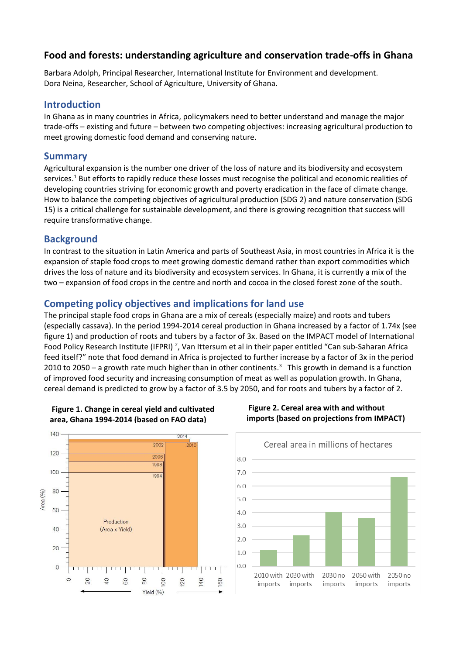# **Food and forests: understanding agriculture and conservation trade-offs in Ghana**

Barbara Adolph, Principal Researcher, International Institute for Environment and development. Dora Neina, Researcher, School of Agriculture, University of Ghana.

#### **Introduction**

In Ghana as in many countries in Africa, policymakers need to better understand and manage the major trade-offs – existing and future – between two competing objectives: increasing agricultural production to meet growing domestic food demand and conserving nature.

## **Summary**

Agricultural expansion is the number one driver of the loss of nature and its biodiversity and ecosystem services.<sup>1</sup> But efforts to rapidly reduce these losses must recognise the political and economic realities of developing countries striving for economic growth and poverty eradication in the face of climate change. How to balance the competing objectives of agricultural production (SDG 2) and nature conservation (SDG 15) is a critical challenge for sustainable development, and there is growing recognition that success will require transformative change.

## **Background**

In contrast to the situation in Latin America and parts of Southeast Asia, in most countries in Africa it is the expansion of staple food crops to meet growing domestic demand rather than export commodities which drives the loss of nature and its biodiversity and ecosystem services. In Ghana, it is currently a mix of the two – expansion of food crops in the centre and north and cocoa in the closed forest zone of the south.

# **Competing policy objectives and implications for land use**

The principal staple food crops in Ghana are a mix of cereals (especially maize) and roots and tubers (especially cassava). In the period 1994-2014 cereal production in Ghana increased by a factor of 1.74x (see figure 1) and production of roots and tubers by a factor of 3x. Based on the IMPACT model of International Food Policy Research Institute (IFPRI)<sup>2</sup>, Van Ittersum et al in their paper entitled "Can sub-Saharan Africa feed itself?" note that food demand in Africa is projected to further increase by a factor of 3x in the period 2010 to 2050 – a growth rate much higher than in other continents.<sup>3</sup> This growth in demand is a function of improved food security and increasing consumption of meat as well as population growth. In Ghana, cereal demand is predicted to grow by a factor of 3.5 by 2050, and for roots and tubers by a factor of 2.



#### **Figure 1. Change in cereal yield and cultivated area, Ghana 1994-2014 (based on FAO data)**



#### **Figure 2. Cereal area with and without imports (based on projections from IMPACT)**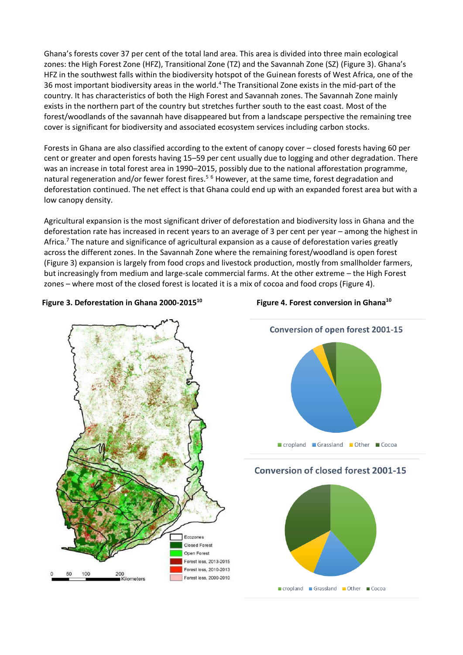Ghana's forests cover 37 per cent of the total land area. This area is divided into three main ecological zones: the High Forest Zone (HFZ), Transitional Zone (TZ) and the Savannah Zone (SZ) (Figure 3). Ghana's HFZ in the southwest falls within the biodiversity hotspot of the Guinean forests of West Africa, one of the 36 most important biodiversity areas in the world. <sup>4</sup> The Transitional Zone exists in the mid-part of the country. It has characteristics of both the High Forest and Savannah zones. The Savannah Zone mainly exists in the northern part of the country but stretches further south to the east coast. Most of the forest/woodlands of the savannah have disappeared but from a landscape perspective the remaining tree cover is significant for biodiversity and associated ecosystem services including carbon stocks.

Forests in Ghana are also classified according to the extent of canopy cover – closed forests having 60 per cent or greater and open forests having 15–59 per cent usually due to logging and other degradation. There was an increase in total forest area in 1990–2015, possibly due to the national afforestation programme, natural regeneration and/or fewer forest fires.<sup>5 6</sup> However, at the same time, forest degradation and deforestation continued. The net effect is that Ghana could end up with an expanded forest area but with a low canopy density.

Agricultural expansion is the most significant driver of deforestation and biodiversity loss in Ghana and the deforestation rate has increased in recent years to an average of 3 per cent per year – among the highest in Africa.<sup>7</sup> The nature and significance of agricultural expansion as a cause of deforestation varies greatly across the different zones. In the Savannah Zone where the remaining forest/woodland is open forest (Figure 3) expansion is largely from food crops and livestock production, mostly from smallholder farmers, but increasingly from medium and large-scale commercial farms. At the other extreme – the High Forest zones – where most of the closed forest is located it is a mix of cocoa and food crops (Figure 4).

#### **Figure 3. Deforestation in Ghana 2000-2015<sup>10</sup> Figure 4. Forest conversion in Ghana<sup>10</sup>**





## **Conversion of closed forest 2001-15**

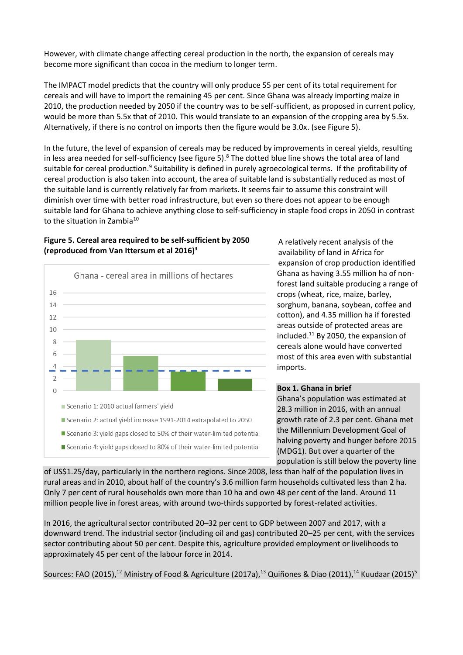However, with climate change affecting cereal production in the north, the expansion of cereals may become more significant than cocoa in the medium to longer term.

The IMPACT model predicts that the country will only produce 55 per cent of its total requirement for cereals and will have to import the remaining 45 per cent. Since Ghana was already importing maize in 2010, the production needed by 2050 if the country was to be self-sufficient, as proposed in current policy, would be more than 5.5x that of 2010. This would translate to an expansion of the cropping area by 5.5x. Alternatively, if there is no control on imports then the figure would be 3.0x. (see Figure 5).

In the future, the level of expansion of cereals may be reduced by improvements in cereal yields, resulting in less area needed for self-sufficiency (see figure 5).<sup>8</sup> The dotted blue line shows the total area of land suitable for cereal production.<sup>9</sup> Suitability is defined in purely agroecological terms. If the profitability of cereal production is also taken into account, the area of suitable land is substantially reduced as most of the suitable land is currently relatively far from markets. It seems fair to assume this constraint will diminish over time with better road infrastructure, but even so there does not appear to be enough suitable land for Ghana to achieve anything close to self-sufficiency in staple food crops in 2050 in contrast to the situation in Zambia $^{10}$ 

### **Figure 5. Cereal area required to be self-sufficient by 2050 (reproduced from Van Ittersum et al 2016)3**



A relatively recent analysis of the availability of land in Africa for expansion of crop production identified Ghana as having 3.55 million ha of nonforest land suitable producing a range of crops (wheat, rice, maize, barley, sorghum, banana, soybean, coffee and cotton), and 4.35 million ha if forested areas outside of protected areas are included.<sup>11</sup> By 2050, the expansion of cereals alone would have converted most of this area even with substantial imports.

#### **Box 1. Ghana in brief**

Ghana's population was estimated at 28.3 million in 2016, with an annual growth rate of 2.3 per cent. Ghana met the Millennium Development Goal of halving poverty and hunger before 2015 (MDG1). But over a quarter of the population is still below the poverty line

of US\$1.25/day, particularly in the northern regions. Since 2008, less than half of the population lives in rural areas and in 2010, about half of the country's 3.6 million farm households cultivated less than 2 ha. Only 7 per cent of rural households own more than 10 ha and own 48 per cent of the land. Around 11 million people live in forest areas, with around two-thirds supported by forest-related activities.

In 2016, the agricultural sector contributed 20–32 per cent to GDP between 2007 and 2017, with a downward trend. The industrial sector (including oil and gas) contributed 20–25 per cent, with the services sector contributing about 50 per cent. Despite this, agriculture provided employment or livelihoods to approximately 45 per cent of the labour force in 2014.

Sources: FAO (2015),<sup>12</sup> Ministry of Food & Agriculture (2017a),<sup>13</sup> Quiñones & Diao (2011),<sup>14</sup> Kuudaar (2015)<sup>5</sup>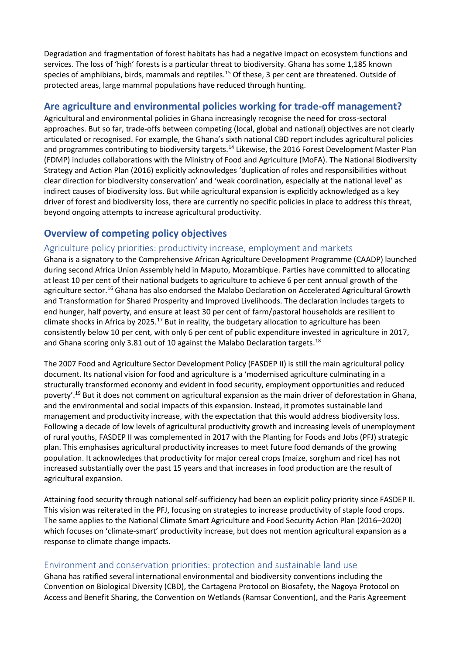Degradation and fragmentation of forest habitats has had a negative impact on ecosystem functions and services. The loss of 'high' forests is a particular threat to biodiversity. Ghana has some 1,185 known species of amphibians, birds, mammals and reptiles.<sup>15</sup> Of these, 3 per cent are threatened. Outside of protected areas, large mammal populations have reduced through hunting.

# **Are agriculture and environmental policies working for trade-off management?**

Agricultural and environmental policies in Ghana increasingly recognise the need for cross-sectoral approaches. But so far, trade-offs between competing (local, global and national) objectives are not clearly articulated or recognised. For example, the Ghana's sixth national CBD report includes agricultural policies and programmes contributing to biodiversity targets.<sup>14</sup> Likewise, the 2016 Forest Development Master Plan (FDMP) includes collaborations with the Ministry of Food and Agriculture (MoFA). The National Biodiversity Strategy and Action Plan (2016) explicitly acknowledges 'duplication of roles and responsibilities without clear direction for biodiversity conservation' and 'weak coordination, especially at the national level' as indirect causes of biodiversity loss. But while agricultural expansion is explicitly acknowledged as a key driver of forest and biodiversity loss, there are currently no specific policies in place to address this threat, beyond ongoing attempts to increase agricultural productivity.

# **Overview of competing policy objectives**

## Agriculture policy priorities: productivity increase, employment and markets

Ghana is a signatory to the Comprehensive African Agriculture Development Programme (CAADP) launched during second Africa Union Assembly held in Maputo, Mozambique. Parties have committed to allocating at least 10 per cent of their national budgets to agriculture to achieve 6 per cent annual growth of the agriculture sector.<sup>16</sup> Ghana has also endorsed the Malabo Declaration on Accelerated Agricultural Growth and Transformation for Shared Prosperity and Improved Livelihoods. The declaration includes targets to end hunger, half poverty, and ensure at least 30 per cent of farm/pastoral households are resilient to climate shocks in Africa by 2025.<sup>17</sup> But in reality, the budgetary allocation to agriculture has been consistently below 10 per cent, with only 6 per cent of public expenditure invested in agriculture in 2017, and Ghana scoring only 3.81 out of 10 against the Malabo Declaration targets.<sup>18</sup>

The 2007 Food and Agriculture Sector Development Policy (FASDEP II) is still the main agricultural policy document. Its national vision for food and agriculture is a 'modernised agriculture culminating in a structurally transformed economy and evident in food security, employment opportunities and reduced poverty'. <sup>19</sup> But it does not comment on agricultural expansion as the main driver of deforestation in Ghana, and the environmental and social impacts of this expansion. Instead, it promotes sustainable land management and productivity increase, with the expectation that this would address biodiversity loss. Following a decade of low levels of agricultural productivity growth and increasing levels of unemployment of rural youths, FASDEP II was complemented in 2017 with the Planting for Foods and Jobs (PFJ) strategic plan. This emphasises agricultural productivity increases to meet future food demands of the growing population. It acknowledges that productivity for major cereal crops (maize, sorghum and rice) has not increased substantially over the past 15 years and that increases in food production are the result of agricultural expansion.

Attaining food security through national self-sufficiency had been an explicit policy priority since FASDEP II. This vision was reiterated in the PFJ, focusing on strategies to increase productivity of staple food crops. The same applies to the National Climate Smart Agriculture and Food Security Action Plan (2016–2020) which focuses on 'climate-smart' productivity increase, but does not mention agricultural expansion as a response to climate change impacts.

## Environment and conservation priorities: protection and sustainable land use

Ghana has ratified several international environmental and biodiversity conventions including the Convention on Biological Diversity (CBD), the Cartagena Protocol on Biosafety, the Nagoya Protocol on Access and Benefit Sharing, the Convention on Wetlands (Ramsar Convention), and the Paris Agreement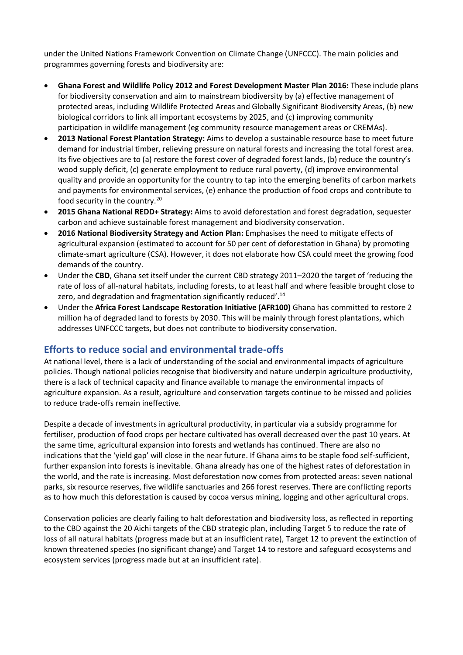under the United Nations Framework Convention on Climate Change (UNFCCC). The main policies and programmes governing forests and biodiversity are:

- **Ghana Forest and Wildlife Policy 2012 and Forest Development Master Plan 2016:** These include plans for biodiversity conservation and aim to mainstream biodiversity by (a) effective management of protected areas, including Wildlife Protected Areas and Globally Significant Biodiversity Areas, (b) new biological corridors to link all important ecosystems by 2025, and (c) improving community participation in wildlife management (eg community resource management areas or CREMAs).
- **2013 National Forest Plantation Strategy:** Aims to develop a sustainable resource base to meet future demand for industrial timber, relieving pressure on natural forests and increasing the total forest area. Its five objectives are to (a) restore the forest cover of degraded forest lands, (b) reduce the country's wood supply deficit, (c) generate employment to reduce rural poverty, (d) improve environmental quality and provide an opportunity for the country to tap into the emerging benefits of carbon markets and payments for environmental services, (e) enhance the production of food crops and contribute to food security in the country.<sup>20</sup>
- **2015 Ghana National REDD+ Strategy:** Aims to avoid deforestation and forest degradation, sequester carbon and achieve sustainable forest management and biodiversity conservation.
- **2016 National Biodiversity Strategy and Action Plan:** Emphasises the need to mitigate effects of agricultural expansion (estimated to account for 50 per cent of deforestation in Ghana) by promoting climate-smart agriculture (CSA). However, it does not elaborate how CSA could meet the growing food demands of the country.
- Under the **CBD**, Ghana set itself under the current CBD strategy 2011–2020 the target of 'reducing the rate of loss of all-natural habitats, including forests, to at least half and where feasible brought close to zero, and degradation and fragmentation significantly reduced'.<sup>14</sup>
- Under the **Africa Forest Landscape Restoration Initiative (AFR100)** Ghana has committed to restore 2 million ha of degraded land to forests by 2030. This will be mainly through forest plantations, which addresses UNFCCC targets, but does not contribute to biodiversity conservation.

## **Efforts to reduce social and environmental trade-offs**

At national level, there is a lack of understanding of the social and environmental impacts of agriculture policies. Though national policies recognise that biodiversity and nature underpin agriculture productivity, there is a lack of technical capacity and finance available to manage the environmental impacts of agriculture expansion. As a result, agriculture and conservation targets continue to be missed and policies to reduce trade-offs remain ineffective.

Despite a decade of investments in agricultural productivity, in particular via a subsidy programme for fertiliser, production of food crops per hectare cultivated has overall decreased over the past 10 years. At the same time, agricultural expansion into forests and wetlands has continued. There are also no indications that the 'yield gap' will close in the near future. If Ghana aims to be staple food self-sufficient, further expansion into forests is inevitable. Ghana already has one of the highest rates of deforestation in the world, and the rate is increasing. Most deforestation now comes from protected areas: seven national parks, six resource reserves, five wildlife sanctuaries and 266 forest reserves. There are conflicting reports as to how much this deforestation is caused by cocoa versus mining, logging and other agricultural crops.

Conservation policies are clearly failing to halt deforestation and biodiversity loss, as reflected in reporting to the CBD against the 20 Aichi targets of the CBD strategic plan, including Target 5 to reduce the rate of loss of all natural habitats (progress made but at an insufficient rate), Target 12 to prevent the extinction of known threatened species (no significant change) and Target 14 to restore and safeguard ecosystems and ecosystem services (progress made but at an insufficient rate).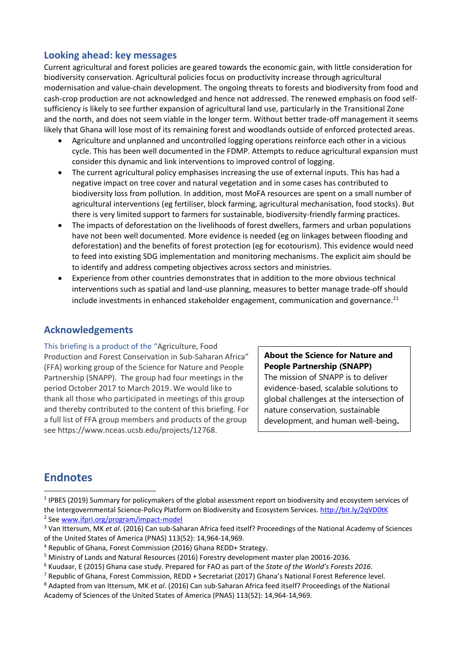# **Looking ahead: key messages**

Current agricultural and forest policies are geared towards the economic gain, with little consideration for biodiversity conservation. Agricultural policies focus on productivity increase through agricultural modernisation and value-chain development. The ongoing threats to forests and biodiversity from food and cash-crop production are not acknowledged and hence not addressed. The renewed emphasis on food selfsufficiency is likely to see further expansion of agricultural land use, particularly in the Transitional Zone and the north, and does not seem viable in the longer term. Without better trade-off management it seems likely that Ghana will lose most of its remaining forest and woodlands outside of enforced protected areas.

- Agriculture and unplanned and uncontrolled logging operations reinforce each other in a vicious cycle. This has been well documented in the FDMP. Attempts to reduce agricultural expansion must consider this dynamic and link interventions to improved control of logging.
- The current agricultural policy emphasises increasing the use of external inputs. This has had a negative impact on tree cover and natural vegetation and in some cases has contributed to biodiversity loss from pollution. In addition, most MoFA resources are spent on a small number of agricultural interventions (eg fertiliser, block farming, agricultural mechanisation, food stocks). But there is very limited support to farmers for sustainable, biodiversity-friendly farming practices.
- The impacts of deforestation on the livelihoods of forest dwellers, farmers and urban populations have not been well documented. More evidence is needed (eg on linkages between flooding and deforestation) and the benefits of forest protection (eg for ecotourism). This evidence would need to feed into existing SDG implementation and monitoring mechanisms. The explicit aim should be to identify and address competing objectives across sectors and ministries.
- Experience from other countries demonstrates that in addition to the more obvious technical interventions such as spatial and land-use planning, measures to better manage trade-off should include investments in enhanced stakeholder engagement, communication and governance.<sup>21</sup>

# **Acknowledgements**

This briefing is a product of the "Agriculture, Food Production and Forest Conservation in Sub-Saharan Africa" (FFA) working group of the Science for Nature and People Partnership (SNAPP). The group had four meetings in the period October 2017 to March 2019. We would like to thank all those who participated in meetings of this group and thereby contributed to the content of this briefing. For a full list of FFA group members and products of the group see [https://www.nceas.ucsb.edu/projects/12768.](https://www.nceas.ucsb.edu/projects/12768)

**About the Science for Nature and People Partnership (SNAPP)**

The mission of SNAPP is to deliver evidence-based, scalable solutions to global challenges at the intersection of nature conservation, sustainable development, and human well-being**.**

# **Endnotes**

<sup>1</sup> IPBES (2019) Summary for policymakers of the global assessment report on biodiversity and ecosystem services of the Intergovernmental Science-Policy Platform on Biodiversity and Ecosystem Services.<http://bit.ly/2qVD0tK> <sup>2</sup> See [www.ifpri.org/program/impact-model](http://www.ifpri.org/program/impact-model)

<sup>3</sup> Van Ittersum, MK *et al*. (2016) Can sub-Saharan Africa feed itself? Proceedings of the National Academy of Sciences of the United States of America (PNAS) 113(52): 14,964-14,969.

<sup>4</sup> Republic of Ghana, Forest Commission (2016) Ghana REDD+ Strategy.

<sup>5</sup> Ministry of Lands and Natural Resources (2016) Forestry development master plan 20016-2036.

<sup>6</sup> Kuudaar, E (2015) Ghana case study. Prepared for FAO as part of the *State of the World's Forests 2016*.

<sup>7</sup> Republic of Ghana, Forest Commission, REDD + Secretariat (2017) Ghana's National Forest Reference level.

<sup>8</sup> Adapted from van Ittersum, MK *et al*. (2016) Can sub-Saharan Africa feed itself? Proceedings of the National Academy of Sciences of the United States of America (PNAS) 113(52): 14,964-14,969.